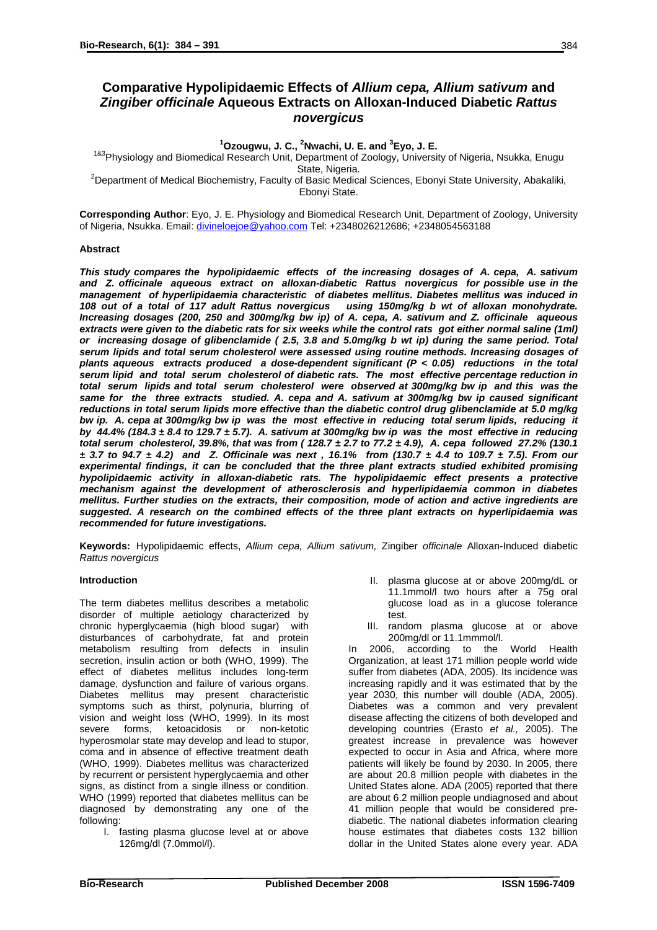# **Comparative Hypolipidaemic Effects of** *Allium cepa, Allium sativum* **and**  *Zingiber officinale* **Aqueous Extracts on Alloxan-Induced Diabetic** *Rattus novergicus*

**1 Ozougwu, J. C., 2 Nwachi, U. E. and <sup>3</sup>**

<sup>1&3</sup>Physiology and Biomedical Research Unit, Department of Zoology, University of Nigeria, Nsukka, Enugu

State, Nigeria. 2 Department of Medical Biochemistry, Faculty of Basic Medical Sciences, Ebonyi State University, Abakaliki, Ebonyi State.

**Corresponding Author**: Eyo, J. E. Physiology and Biomedical Research Unit, Department of Zoology, University of Nigeria, Nsukka. Email: [divineloejoe@yahoo.com](mailto:divineloejoe@yahoo.com) Tel: +2348026212686; +2348054563188

## **Abstract**

*This study compares the hypolipidaemic effects of the increasing dosages of A. cepa, A. sativum and Z. officinale aqueous extract on alloxan-diabetic Rattus novergicus for possible use in the management of hyperlipidaemia characteristic of diabetes mellitus. Diabetes mellitus was induced in 108 out of a total of 117 adult Rattus novergicus using 150mg/kg b wt of alloxan monohydrate. Increasing dosages (200, 250 and 300mg/kg bw ip) of A. cepa, A. sativum and Z. officinale aqueous extracts were given to the diabetic rats for six weeks while the control rats got either normal saline (1ml) or increasing dosage of glibenclamide ( 2.5, 3.8 and 5.0mg/kg b wt ip) during the same period. Total serum lipids and total serum cholesterol were assessed using routine methods. Increasing dosages of plants aqueous extracts produced a dose-dependent significant (P < 0.05) reductions in the total serum lipid and total serum cholesterol of diabetic rats. The most effective percentage reduction in total serum lipids and total serum cholesterol were observed at 300mg/kg bw ip and this was the same for the three extracts studied. A. cepa and A. sativum at 300mg/kg bw ip caused significant reductions in total serum lipids more effective than the diabetic control drug glibenclamide at 5.0 mg/kg bw ip. A. cepa at 300mg/kg bw ip was the most effective in reducing total serum lipids, reducing it by 44.4% (184.3 ± 8.4 to 129.7 ± 5.7). A. sativum at 300mg/kg bw ip was the most effective in reducing total serum cholesterol, 39.8%, that was from ( 128.7 ± 2.7 to 77.2 ± 4.9), A. cepa followed 27.2% (130.1 ± 3.7 to 94.7 ± 4.2) and Z. Officinale was next , 16.1% from (130.7 ± 4.4 to 109.7 ± 7.5). From our experimental findings, it can be concluded that the three plant extracts studied exhibited promising hypolipidaemic activity in alloxan-diabetic rats. The hypolipidaemic effect presents a protective mechanism against the development of atherosclerosis and hyperlipidaemia common in diabetes mellitus. Further studies on the extracts, their composition, mode of action and active ingredients are suggested. A research on the combined effects of the three plant extracts on hyperlipidaemia was recommended for future investigations.* 

**Keywords:** Hypolipidaemic effects, *Allium cepa, Allium sativum,* Zingiber *officinale* Alloxan-Induced diabetic *Rattus novergicus*

### **Introduction**

The term diabetes mellitus describes a metabolic disorder of multiple aetiology characterized by chronic hyperglycaemia (high blood sugar) with disturbances of carbohydrate, fat and protein metabolism resulting from defects in insulin secretion, insulin action or both (WHO, 1999). The effect of diabetes mellitus includes long-term damage, dysfunction and failure of various organs. Diabetes mellitus may present characteristic symptoms such as thirst, polynuria, blurring of vision and weight loss (WHO, 1999). In its most severe forms, ketoacidosis or non-ketotic hyperosmolar state may develop and lead to stupor, coma and in absence of effective treatment death (WHO, 1999). Diabetes mellitus was characterized by recurrent or persistent hyperglycaemia and other signs, as distinct from a single illness or condition. WHO (1999) reported that diabetes mellitus can be diagnosed by demonstrating any one of the following:

I. fasting plasma glucose level at or above 126mg/dl (7.0mmol/l).

- II. plasma glucose at or above 200mg/dL or 11.1mmol/l two hours after a 75g oral glucose load as in a glucose tolerance test.
- III. random plasma glucose at or above 200mg/dl or 11.1mmmol/l.

In 2006, according to the World Health Organization, at least 171 million people world wide suffer from diabetes (ADA, 2005). Its incidence was increasing rapidly and it was estimated that by the year 2030, this number will double (ADA, 2005). Diabetes was a common and very prevalent disease affecting the citizens of both developed and developing countries (Erasto *et al.,* 2005). The greatest increase in prevalence was however expected to occur in Asia and Africa, where more patients will likely be found by 2030. In 2005, there are about 20.8 million people with diabetes in the United States alone. ADA (2005) reported that there are about 6.2 million people undiagnosed and about 41 million people that would be considered prediabetic. The national diabetes information clearing house estimates that diabetes costs 132 billion dollar in the United States alone every year. ADA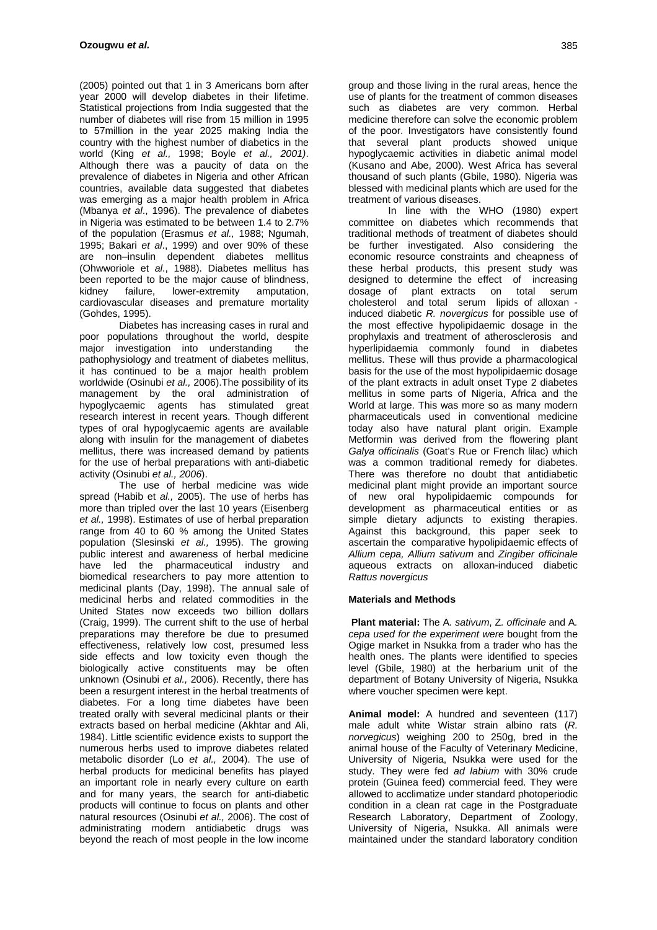(2005) pointed out that 1 in 3 Americans born after year 2000 will develop diabetes in their lifetime. Statistical projections from India suggested that the number of diabetes will rise from 15 million in 1995 to 57million in the year 2025 making India the country with the highest number of diabetics in the world (King *et al.,* 1998; Boyle *et al., 2001)*. Although there was a paucity of data on the prevalence of diabetes in Nigeria and other African countries, available data suggested that diabetes was emerging as a major health problem in Africa (Mbanya *et al*., 1996). The prevalence of diabetes in Nigeria was estimated to be between 1.4 to 2.7% of the population (Erasmus *et al.,* 1988; Ngumah, 1995; Bakari *et al*., 1999) and over 90% of these are non–insulin dependent diabetes mellitus (Ohwworiole et *al*., 1988). Diabetes mellitus has been reported to be the major cause of blindness,<br>kidnev failure, lower-extremity amputation, kidney failure, lower-extremity amputation, cardiovascular diseases and premature mortality (Gohdes, 1995).

Diabetes has increasing cases in rural and poor populations throughout the world, despite major investigation into understanding the pathophysiology and treatment of diabetes mellitus, it has continued to be a major health problem worldwide (Osinubi *et al.,* 2006).The possibility of its management by the oral administration of hypoglycaemic agents has stimulated great research interest in recent years. Though different types of oral hypoglycaemic agents are available along with insulin for the management of diabetes mellitus, there was increased demand by patients for the use of herbal preparations with anti-diabetic activity (Osinubi *et al., 2006*).

The use of herbal medicine was wide spread (Habib et *al.,* 2005). The use of herbs has more than tripled over the last 10 years (Eisenberg *et al.,* 1998). Estimates of use of herbal preparation range from 40 to 60 % among the United States population (Slesinski *et al.,* 1995). The growing public interest and awareness of herbal medicine have led the pharmaceutical industry and biomedical researchers to pay more attention to medicinal plants (Day, 1998). The annual sale of medicinal herbs and related commodities in the United States now exceeds two billion dollars (Craig, 1999). The current shift to the use of herbal preparations may therefore be due to presumed effectiveness, relatively low cost, presumed less side effects and low toxicity even though the biologically active constituents may be often unknown (Osinubi *et al.,* 2006). Recently, there has been a resurgent interest in the herbal treatments of diabetes. For a long time diabetes have been treated orally with several medicinal plants or their extracts based on herbal medicine (Akhtar and Ali, 1984). Little scientific evidence exists to support the numerous herbs used to improve diabetes related metabolic disorder (Lo *et al.,* 2004). The use of herbal products for medicinal benefits has played an important role in nearly every culture on earth and for many years, the search for anti-diabetic products will continue to focus on plants and other natural resources (Osinubi *et al.,* 2006). The cost of administrating modern antidiabetic drugs was beyond the reach of most people in the low income group and those living in the rural areas, hence the use of plants for the treatment of common diseases such as diabetes are very common. Herbal medicine therefore can solve the economic problem of the poor. Investigators have consistently found that several plant products showed unique hypoglycaemic activities in diabetic animal model (Kusano and Abe, 2000). West Africa has several thousand of such plants (Gbile, 1980). Nigeria was blessed with medicinal plants which are used for the treatment of various diseases.

In line with the WHO (1980) expert committee on diabetes which recommends that traditional methods of treatment of diabetes should be further investigated. Also considering the economic resource constraints and cheapness of these herbal products, this present study was designed to determine the effect of increasing<br>dosage of plant extracts on total serum dosage of plant extracts on total serum cholesterol and total serum lipids of alloxan induced diabetic *R. novergicus* for possible use of the most effective hypolipidaemic dosage in the prophylaxis and treatment of atherosclerosis and hyperlipidaemia commonly found in diabetes mellitus. These will thus provide a pharmacological basis for the use of the most hypolipidaemic dosage of the plant extracts in adult onset Type 2 diabetes mellitus in some parts of Nigeria, Africa and the World at large. This was more so as many modern pharmaceuticals used in conventional medicine today also have natural plant origin. Example Metformin was derived from the flowering plant *Galya officinalis* (Goat's Rue or French lilac) which was a common traditional remedy for diabetes. There was therefore no doubt that antidiabetic medicinal plant might provide an important source of new oral hypolipidaemic compounds for development as pharmaceutical entities or as simple dietary adjuncts to existing therapies. Against this background, this paper seek to ascertain the comparative hypolipidaemic effects of *Allium cepa, Allium sativum* and *Zingiber officinale* aqueous extracts on alloxan-induced diabetic *Rattus novergicus* 

### **Materials and Methods**

 **Plant material:** The A*. sativum*, Z*. officinale* and A*. cepa used for the experiment were* bought from the Ogige market in Nsukka from a trader who has the health ones. The plants were identified to species level (Gbile, 1980) at the herbarium unit of the department of Botany University of Nigeria, Nsukka where voucher specimen were kept.

**Animal model:** A hundred and seventeen (117) male adult white Wistar strain albino rats (*R. norvegicus*) weighing 200 to 250g, bred in the animal house of the Faculty of Veterinary Medicine, University of Nigeria, Nsukka were used for the study. They were fed *ad labium* with 30% crude protein (Guinea feed) commercial feed. They were allowed to acclimatize under standard photoperiodic condition in a clean rat cage in the Postgraduate Research Laboratory, Department of Zoology, University of Nigeria, Nsukka. All animals were maintained under the standard laboratory condition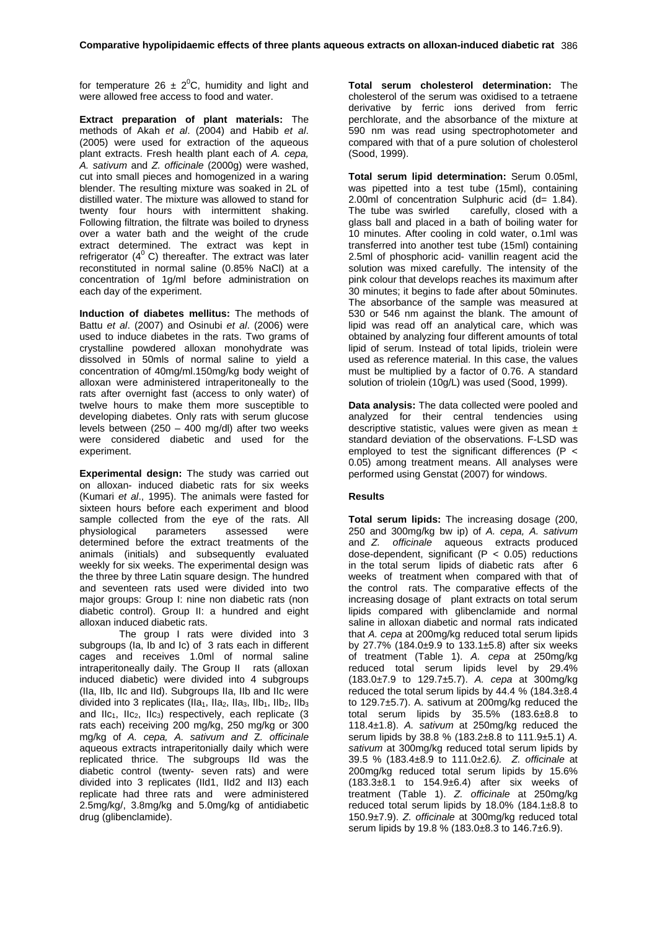for temperature 26  $\pm$  2<sup>0</sup>C, humidity and light and were allowed free access to food and water.

**Extract preparation of plant materials:** The methods of Akah *et al*. (2004) and Habib *et al*. (2005) were used for extraction of the aqueous plant extracts. Fresh health plant each of *A. cepa, A. sativum* and *Z. officinale* (2000g) were washed, cut into small pieces and homogenized in a waring blender. The resulting mixture was soaked in 2L of distilled water. The mixture was allowed to stand for twenty four hours with intermittent shaking. Following filtration, the filtrate was boiled to dryness over a water bath and the weight of the crude extract determined. The extract was kept in refrigerator  $(4^{\circ}$  C) thereafter. The extract was later reconstituted in normal saline (0.85% NaCl) at a concentration of 1g/ml before administration on each day of the experiment.

**Induction of diabetes mellitus:** The methods of Battu *et al*. (2007) and Osinubi *et al*. (2006) were used to induce diabetes in the rats. Two grams of crystalline powdered alloxan monohydrate was dissolved in 50mls of normal saline to yield a concentration of 40mg/ml.150mg/kg body weight of alloxan were administered intraperitoneally to the rats after overnight fast (access to only water) of twelve hours to make them more susceptible to developing diabetes. Only rats with serum glucose levels between (250 – 400 mg/dl) after two weeks were considered diabetic and used for the experiment.

**Experimental design:** The study was carried out on alloxan- induced diabetic rats for six weeks (Kumari *et al*., 1995). The animals were fasted for sixteen hours before each experiment and blood sample collected from the eye of the rats. All<br>physiological parameters assessed were parameters assessed were determined before the extract treatments of the animals (initials) and subsequently evaluated weekly for six weeks. The experimental design was the three by three Latin square design. The hundred and seventeen rats used were divided into two major groups: Group I: nine non diabetic rats (non diabetic control). Group II: a hundred and eight alloxan induced diabetic rats.

 The group I rats were divided into 3 subgroups (Ia, Ib and Ic) of 3 rats each in different cages and receives 1.0ml of normal saline intraperitoneally daily. The Group IIrats (alloxan induced diabetic) were divided into 4 subgroups (IIa, IIb, IIc and IId). Subgroups IIa, IIb and IIc were divided into 3 replicates (IIa<sub>1</sub>, IIa<sub>2</sub>, IIa<sub>3</sub>, IIb<sub>1</sub>, IIb<sub>2</sub>, IIb<sub>3</sub> and IIc<sub>1</sub>, IIc<sub>2</sub>, IIc<sub>3</sub>) respectively, each replicate  $(3 \nvert$ rats each) receiving 200 mg/kg, 250 mg/kg or 300 mg/kg of *A. cepa, A. sativum and* Z*. officinale*  aqueous extracts intraperitonially daily which were replicated thrice. The subgroups IId was the diabetic control (twenty- seven rats) and were divided into 3 replicates (IId1, IId2 and II3) each replicate had three rats and were administered 2.5mg/kg/, 3.8mg/kg and 5.0mg/kg of antidiabetic drug (glibenclamide).

**Total serum cholesterol determination:** The cholesterol of the serum was oxidised to a tetraene derivative by ferric ions derived from ferric perchlorate, and the absorbance of the mixture at 590 nm was read using spectrophotometer and compared with that of a pure solution of cholesterol (Sood, 1999).

**Total serum lipid determination:** Serum 0.05ml, was pipetted into a test tube (15ml), containing 2.00ml of concentration Sulphuric acid  $(d= 1.84)$ .<br>The tube was swirled carefully, closed with a carefully, closed with a glass ball and placed in a bath of boiling water for 10 minutes. After cooling in cold water, o.1ml was transferred into another test tube (15ml) containing 2.5ml of phosphoric acid- vanillin reagent acid the solution was mixed carefully. The intensity of the pink colour that develops reaches its maximum after 30 minutes; it begins to fade after about 50minutes. The absorbance of the sample was measured at 530 or 546 nm against the blank. The amount of lipid was read off an analytical care, which was obtained by analyzing four different amounts of total lipid of serum. Instead of total lipids, triolein were used as reference material. In this case, the values must be multiplied by a factor of 0.76. A standard solution of triolein (10g/L) was used (Sood, 1999).

**Data analysis:** The data collected were pooled and analyzed for their central tendencies using descriptive statistic, values were given as mean  $\frac{3}{2}$ standard deviation of the observations. F-LSD was employed to test the significant differences (P < 0.05) among treatment means. All analyses were performed using Genstat (2007) for windows.

### **Results**

**Total serum lipids:** The increasing dosage (200, 250 and 300mg/kg bw ip) of *A. cepa, A. sativum* and *Z. officinale* aqueous extracts produced dose-dependent, significant (P < 0.05) reductions in the total serum lipids of diabetic rats after 6 weeks of treatment when compared with that of the control rats. The comparative effects of the increasing dosage of plant extracts on total serum lipids compared with glibenclamide and normal saline in alloxan diabetic and normal rats indicated that *A. cepa* at 200mg/kg reduced total serum lipids by 27.7% (184.0±9.9 to 133.1±5.8) after six weeks of treatment (Table 1). *A. cepa* at 250mg/kg reduced total serum lipids level by 29.4% (183.0±7.9 to 129.7±5.7). *A. cepa* at 300mg/kg reduced the total serum lipids by  $44.4\%$  (184.3 $\pm$ 8.4 to 129.7±5.7). A. sativum at 200mg/kg reduced the total serum lipids by 35.5% (183.6±8.8 to 118.4±1.8). *A. sativum* at 250mg/kg reduced the serum lipids by 38.8 % (183.2±8.8 to 111.9±5.1) *A. sativum* at 300mg/kg reduced total serum lipids by 39.5 % (183.4±8.9 to 111.0±2.6*). Z. officinale* at 200mg/kg reduced total serum lipids by 15.6%  $(183.3+8.1)$  to  $154.9+6.4$  after six weeks of treatment (Table 1). *Z. officinale* at 250mg/kg reduced total serum lipids by 18.0% (184.1±8.8 to 150.9±7.9). *Z. officinale* at 300mg/kg reduced total serum lipids by 19.8 % (183.0±8.3 to 146.7±6.9).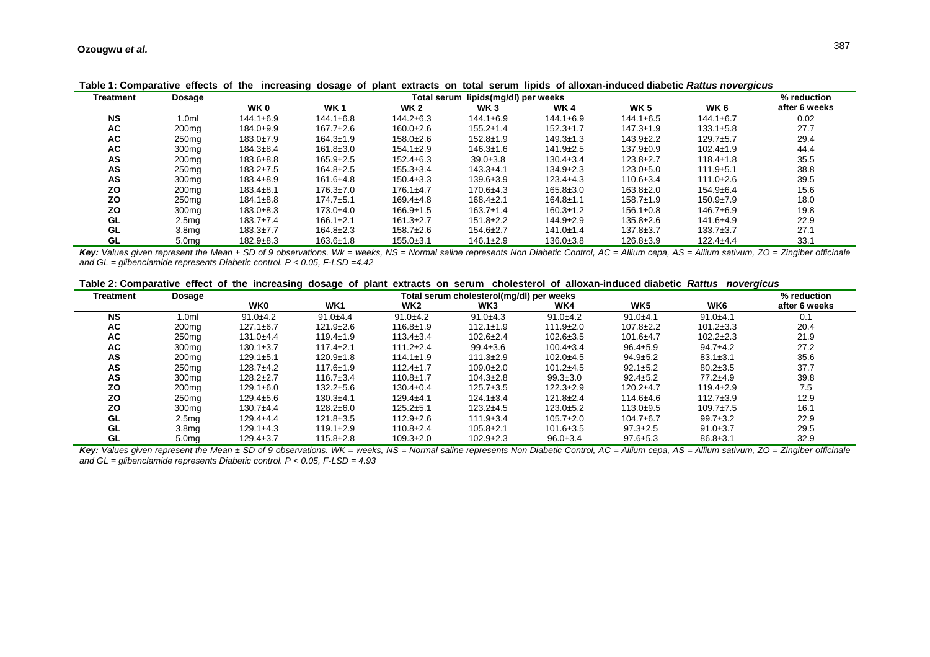| <b>Treatment</b> | Dosage            | Total serum lipids(mg/dl) per weeks |                 |                 |                 |                 |                 |                 | % reduction   |
|------------------|-------------------|-------------------------------------|-----------------|-----------------|-----------------|-----------------|-----------------|-----------------|---------------|
|                  |                   | WK 0                                | <b>WK1</b>      | <b>WK 2</b>     | WK <sub>3</sub> | WK 4            | <b>WK 5</b>     | WK 6            | after 6 weeks |
| <b>NS</b>        | 1.0 $ml$          | $144.1 \pm 6.9$                     | $144.1 \pm 6.8$ | $144.2 \pm 6.3$ | $144.1 \pm 6.9$ | $144.1 \pm 6.9$ | $144.1 \pm 6.5$ | $144.1 \pm 6.7$ | 0.02          |
| AC               | 200 <sub>mg</sub> | $184.0+9.9$                         | $167.7 \pm 2.6$ | $160.0+2.6$     | $155.2 \pm 1.4$ | $152.3 \pm 1.7$ | $147.3 \pm 1.9$ | $133.1 \pm 5.8$ | 27.7          |
| AC               | 250 <sub>mg</sub> | $183.0 \pm 7.9$                     | $164.3 \pm 1.9$ | $158.0 \pm 2.6$ | $152.8 \pm 1.9$ | $149.3 \pm 1.3$ | $143.9 \pm 2.2$ | $129.7 + 5.7$   | 29.4          |
| AC               | 300 <sub>mq</sub> | $184.3 \pm 8.4$                     | $161.8 \pm 3.0$ | $154.1 \pm 2.9$ | $146.3 \pm 1.6$ | $141.9 \pm 2.5$ | $137.9 \pm 0.9$ | $102.4 \pm 1.9$ | 44.4          |
| AS               | 200 <sub>mg</sub> | $183.6 \pm 8.8$                     | $165.9 \pm 2.5$ | $152.4 \pm 6.3$ | $39.0 \pm 3.8$  | $130.4 \pm 3.4$ | $123.8 \pm 2.7$ | $118.4 \pm 1.8$ | 35.5          |
| AS               | 250 <sub>mg</sub> | $183.2 \pm 7.5$                     | $164.8 \pm 2.5$ | $155.3 \pm 3.4$ | $143.3 + 4.1$   | $134.9 \pm 2.3$ | $123.0 + 5.0$   | $111.9+5.1$     | 38.8          |
| AS               | 300 <sub>mq</sub> | $183.4 \pm 8.9$                     | $161.6 + 4.8$   | $150.4 \pm 3.3$ | $139.6 \pm 3.9$ | $123.4 + 4.3$   | $110.6 \pm 3.4$ | $111.0 \pm 2.6$ | 39.5          |
| ΖO               | 200 <sub>mg</sub> | $183.4 \pm 8.1$                     | $176.3 \pm 7.0$ | $176.1 \pm 4.7$ | $170.6 \pm 4.3$ | $165.8 \pm 3.0$ | $163.8 \pm 2.0$ | $154.9 + 6.4$   | 15.6          |
| ΖO               | 250 <sub>mg</sub> | $184.1 \pm 8.8$                     | $174.7 + 5.1$   | $169.4 + 4.8$   | $168.4 \pm 2.1$ | $164.8 \pm 1.1$ | $158.7 \pm 1.9$ | $150.9 \pm 7.9$ | 18.0          |
| ΖO               | 300 <sub>mg</sub> | $183.0 + 8.3$                       | $173.0 + 4.0$   | $166.9 \pm 1.5$ | $163.7 \pm 1.4$ | $160.3 \pm 1.2$ | $156.1 \pm 0.8$ | $146.7\pm 6.9$  | 19.8          |
| GL               | 2.5 <sub>mq</sub> | $183.7 \pm 7.4$                     | $166.1 \pm 2.1$ | $161.3+2.7$     | $151.8 \pm 2.2$ | $144.9 \pm 2.9$ | $135.8 \pm 2.6$ | $141.6 + 4.9$   | 22.9          |
| GL               | 3.8 <sub>mg</sub> | $183.3 \pm 7.7$                     | $164.8 \pm 2.3$ | $158.7+2.6$     | $154.6 \pm 2.7$ | $141.0 \pm 1.4$ | $137.8 \pm 3.7$ | $133.7 + 3.7$   | 27.1          |
| GL.              | 5.0 <sub>mg</sub> | $182.9+8.3$                         | $163.6 \pm 1.8$ | $155.0 + 3.1$   | $146.1 \pm 2.9$ | $136.0 \pm 3.8$ | $126.8 \pm 3.9$ | $122.4 + 4.4$   | 33.1          |

**Table 1: Comparative effects of the increasing dosage of plant extracts on total serum lipids of alloxan-induced diabetic** *Rattus novergicus*

**Key:** Values given represent the Mean ± SD of 9 observations. Wk = weeks, NS = Normal saline represents Non Diabetic Control, AC = Allium cepa, AS = Allium sativum, ZO = Zingiber officinale *and GL = glibenclamide represents Diabetic control. P < 0.05, F-LSD =4.42* 

|  |  |  | Table 2: Comparative effect of the increasing dosage of plant extracts on serum cholesterol of alloxan-induced diabetic Rattus novergicus |  |
|--|--|--|-------------------------------------------------------------------------------------------------------------------------------------------|--|
|--|--|--|-------------------------------------------------------------------------------------------------------------------------------------------|--|

|                  |                   |                                          |                 |                 |                 |                 |                 | <u>tasio ili odlibaratto dildot di tilo libroadilig addago di piant dittadio dil dolanti dildidotoro di alionali hiaadda alamdid tidtolgidad</u> |               |
|------------------|-------------------|------------------------------------------|-----------------|-----------------|-----------------|-----------------|-----------------|--------------------------------------------------------------------------------------------------------------------------------------------------|---------------|
| <b>Treatment</b> | <b>Dosage</b>     | Total serum cholesterol(mg/dl) per weeks |                 |                 |                 |                 |                 |                                                                                                                                                  | % reduction   |
|                  |                   | <b>WKO</b>                               | WK <sub>1</sub> | WK2             | WK3             | WK4             | WK <sub>5</sub> | WK6                                                                                                                                              | after 6 weeks |
| <b>NS</b>        | 1.0 <sub>m</sub>  | $91.0 + 4.2$                             | $91.0 + 4.4$    | $91.0+4.2$      | $91.0+4.3$      | $91.0 + 4.2$    | $91.0+4.1$      | $91.0 + 4.1$                                                                                                                                     | 0.1           |
| AC               | 200 <sub>mg</sub> | $127.1 \pm 6.7$                          | $121.9 \pm 2.6$ | $116.8 \pm 1.9$ | $112.1 \pm 1.9$ | $111.9 \pm 2.0$ | $107.8 \pm 2.2$ | $101.2 \pm 3.3$                                                                                                                                  | 20.4          |
| AC               | 250 <sub>mg</sub> | $131.0+4.4$                              | $119.4 \pm 1.9$ | $113.4 \pm 3.4$ | $102.6 \pm 2.4$ | $102.6 \pm 3.5$ | $101.6 + 4.7$   | $102.2 \pm 2.3$                                                                                                                                  | 21.9          |
| AC               | 300 <sub>mq</sub> | $130.1 \pm 3.7$                          | $117.4 \pm 2.1$ | $111.2 \pm 2.4$ | $99.4 \pm 3.6$  | $100.4 \pm 3.4$ | $96.4 \pm 5.9$  | $94.7 + 4.2$                                                                                                                                     | 27.2          |
| AS               | 200 <sub>mg</sub> | $129.1 + 5.1$                            | $120.9 \pm 1.8$ | $114.1 \pm 1.9$ | $111.3 \pm 2.9$ | $102.0+4.5$     | $94.9 \pm 5.2$  | $83.1 \pm 3.1$                                                                                                                                   | 35.6          |
| AS               | 250 <sub>mg</sub> | $128.7+4.2$                              | $117.6 \pm 1.9$ | $112.4 \pm 1.7$ | $109.0 \pm 2.0$ | $101.2 + 4.5$   | $92.1 \pm 5.2$  | $80.2 \pm 3.5$                                                                                                                                   | 37.7          |
| AS               | 300 <sub>mg</sub> | $128.2 + 2.7$                            | $116.7 \pm 3.4$ | $110.8 + 1.7$   | $104.3 \pm 2.8$ | $99.3 \pm 3.0$  | $92.4 \pm 5.2$  | $77.2 + 4.9$                                                                                                                                     | 39.8          |
| ZO               | 200 <sub>mg</sub> | $129.1 \pm 6.0$                          | $132.2 \pm 5.6$ | $130.4 \pm 0.4$ | $125.7 \pm 3.5$ | $122.3 \pm 2.9$ | $120.2 + 4.7$   | $119.4 \pm 2.9$                                                                                                                                  | 7.5           |
| ΖO               | 250 <sub>mg</sub> | $129.4 \pm 5.6$                          | $130.3+4.1$     | $129.4 + 4.1$   | $124.1 \pm 3.4$ | $121.8 \pm 2.4$ | $114.6 + 4.6$   | $112.7 \pm 3.9$                                                                                                                                  | 12.9          |
| ΖO               | 300 <sub>mg</sub> | $130.7+4.4$                              | $128.2 \pm 6.0$ | $125.2 + 5.1$   | $123.2+4.5$     | $123.0 + 5.2$   | $113.0+9.5$     | $109.7 \pm 7.5$                                                                                                                                  | 16.1          |
| GL               | 2.5 <sub>mg</sub> | $129.4 + 4.4$                            | $121.8 \pm 3.5$ | $112.9 \pm 2.6$ | $111.9 \pm 3.4$ | $105.7 \pm 2.0$ | $104.7\pm 6.7$  | $99.7 \pm 3.2$                                                                                                                                   | 22.9          |
| GL               | 3.8 <sub>mg</sub> | $129.1 \pm 4.3$                          | $119.1 \pm 2.9$ | $110.8 \pm 2.4$ | $105.8 \pm 2.1$ | $101.6 \pm 3.5$ | $97.3 \pm 2.5$  | $91.0 \pm 3.7$                                                                                                                                   | 29.5          |
| GL               | 5.0 <sub>mg</sub> | $129.4 \pm 3.7$                          | $115.8 \pm 2.8$ | $109.3 \pm 2.0$ | $102.9 \pm 2.3$ | $96.0 \pm 3.4$  | $97.6 \pm 5.3$  | $86.8 \pm 3.1$                                                                                                                                   | 32.9          |

*Key: Values given represent the Mean ± SD of 9 observations. WK = weeks, NS = Normal saline represents Non Diabetic Control, AC = Allium cepa, AS = Allium sativum, ZO = Zingiber officinale and GL = glibenclamide represents Diabetic control. P < 0.05, F-LSD = 4.93*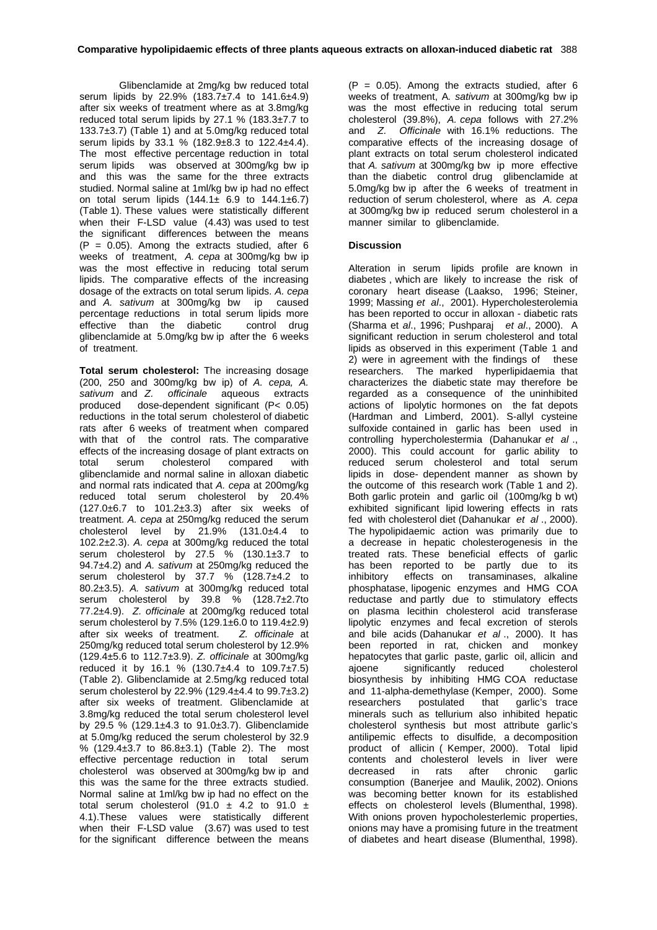Glibenclamide at 2mg/kg bw reduced total serum lipids by 22.9% (183.7±7.4 to 141.6±4.9) after six weeks of treatment where as at 3.8mg/kg reduced total serum lipids by 27.1 % (183.3±7.7 to 133.7 $\pm$ 3.7) (Table 1) and at 5.0mg/kg reduced total serum lipids by 33.1 % (182.9±8.3 to 122.4±4.4). The most effective percentage reduction in total serum lipids was observed at 300mg/kg bw ip and this was the same for the three extracts studied. Normal saline at 1ml/kg bw ip had no effect on total serum lipids  $(144.1 \pm 6.9)$  to  $144.1 \pm 6.7$ ) (Table 1). These values were statistically different when their F-LSD value (4.43) was used to test the significant differences between the means  $(P = 0.05)$ . Among the extracts studied, after 6 weeks of treatment, *A. cepa* at 300mg/kg bw ip was the most effective in reducing total serum lipids. The comparative effects of the increasing dosage of the extracts on total serum lipids. *A. cepa* and *A. sativum* at 300mg/kg bw ip caused percentage reductions in total serum lipids more effective than the diabetic control drug glibenclamide at 5.0mg/kg bw ip after the 6 weeks of treatment.

**Total serum cholesterol:** The increasing dosage (200, 250 and 300mg/kg bw ip) of *A. cepa, A. sativum* and *Z. officinale* aqueous extracts produced dose-dependent significant (P< 0.05) reductions in the total serum cholesterol of diabetic rats after 6 weeks of treatment when compared with that of the control rats. The comparative effects of the increasing dosage of plant extracts on total serum cholesterol compared with glibenclamide and normal saline in alloxan diabetic and normal rats indicated that *A. cepa* at 200mg/kg reduced total serum cholesterol by 20.4% (127.0±6.7 to 101.2±3.3) after six weeks of treatment. *A. cepa* at 250mg/kg reduced the serum cholesterol level by  $21.9\%$  (131.0 $\pm$ 4.4 to 102.2±2.3). *A. cepa* at 300mg/kg reduced the total serum cholesterol by 27.5 % (130.1±3.7 to 94.7±4.2) and *A. sativum* at 250mg/kg reduced the serum cholesterol by 37.7 % (128.7±4.2 to 80.2±3.5). *A. sativum* at 300mg/kg reduced total serum cholesterol by 39.8 % (128.7±2.7to 77.2±4.9). *Z. officinale* at 200mg/kg reduced total serum cholesterol by 7.5% (129.1±6.0 to 119.4±2.9) after six weeks of treatment. *Z. officinale* at 250mg/kg reduced total serum cholesterol by 12.9% (129.4±5.6 to 112.7±3.9). *Z. officinale* at 300mg/kg reduced it by 16.1 % (130.7 $\pm$ 4.4 to 109.7 $\pm$ 7.5) (Table 2). Glibenclamide at 2.5mg/kg reduced total serum cholesterol by 22.9% (129.4±4.4 to 99.7±3.2) after six weeks of treatment. Glibenclamide at 3.8mg/kg reduced the total serum cholesterol level by 29.5 % (129.1±4.3 to 91.0±3.7). Glibenclamide at 5.0mg/kg reduced the serum cholesterol by 32.9 %  $(129.4\pm 3.7)$  to  $86.8\pm 3.1)$  (Table 2). The most effective percentage reduction in total serum cholesterol was observed at 300mg/kg bw ip and this was the same for the three extracts studied. Normal saline at 1ml/kg bw ip had no effect on the total serum cholesterol (91.0  $\pm$  4.2 to 91.0  $\pm$ 4.1). These values were statistically different when their F-LSD value (3.67) was used to test for the significant difference between the means

 $(P = 0.05)$ . Among the extracts studied, after 6 weeks of treatment, A*. sativum* at 300mg/kg bw ip was the most effective in reducing total serum cholesterol (39.8%), *A. cepa* follows with 27.2% and *Z. Officinale* with 16.1% reductions. The comparative effects of the increasing dosage of plant extracts on total serum cholesterol indicated that *A. sativum* at 300mg/kg bw ip more effective than the diabetic control drug glibenclamide at 5.0mg/kg bw ip after the 6 weeks of treatment in reduction of serum cholesterol, where as *A. cepa* at 300mg/kg bw ip reduced serum cholesterol in a manner similar to glibenclamide.

### **Discussion**

Alteration in serum lipids profile are known in diabetes , which are likely to increase the risk of coronary heart disease (Laakso, 1996; Steiner, 1999; Massing *et al*., 2001). Hypercholesterolemia has been reported to occur in alloxan - diabetic rats (Sharma et *al*., 1996; Pushparaj *et al*., 2000). A significant reduction in serum cholesterol and total lipids as observed in this experiment (Table 1 and 2) were in agreement with the findings of these researchers. The marked hyperlipidaemia that characterizes the diabetic state may therefore be regarded as a consequence of the uninhibited actions of lipolytic hormones on the fat depots (Hardman and Limberd, 2001). S-allyl cysteine sulfoxide contained in garlic has been used in controlling hypercholestermia (Dahanukar *et al* ., 2000). This could account for garlic ability to reduced serum cholesterol and total serum lipids in dose- dependent manner as shown by the outcome of this research work (Table 1 and 2). Both garlic protein and garlic oil (100mg/kg b wt) exhibited significant lipid lowering effects in rats fed with cholesterol diet (Dahanukar *et al* ., 2000). The hypolipidaemic action was primarily due to a decrease in hepatic cholesterogenesis in the treated rats. These beneficial effects of garlic has been reported to be partly due to its<br>inhibitory effects on transaminases, alkaline inhibitory effects on transaminases, alkaline phosphatase, lipogenic enzymes and HMG COA reductase and partly due to stimulatory effects on plasma lecithin cholesterol acid transferase lipolytic enzymes and fecal excretion of sterols and bile acids (Dahanukar *et al* ., 2000). It has been reported in rat, chicken and monkey hepatocytes that garlic paste, garlic oil, allicin and ajoene significantly reduced cholesterol biosynthesis by inhibiting HMG COA reductase and 11-alpha-demethylase (Kemper, 2000). Some researchers postulated that garlic's trace minerals such as tellurium also inhibited hepatic cholesterol synthesis but most attribute garlic's antilipemic effects to disulfide, a decomposition product of allicin ( Kemper, 2000). Total lipid contents and cholesterol levels in liver were decreased in rats after chronic garlic consumption (Banerjee and Maulik, 2002). Onions was becoming better known for its established effects on cholesterol levels (Blumenthal, 1998). With onions proven hypocholesterlemic properties, onions may have a promising future in the treatment of diabetes and heart disease (Blumenthal, 1998).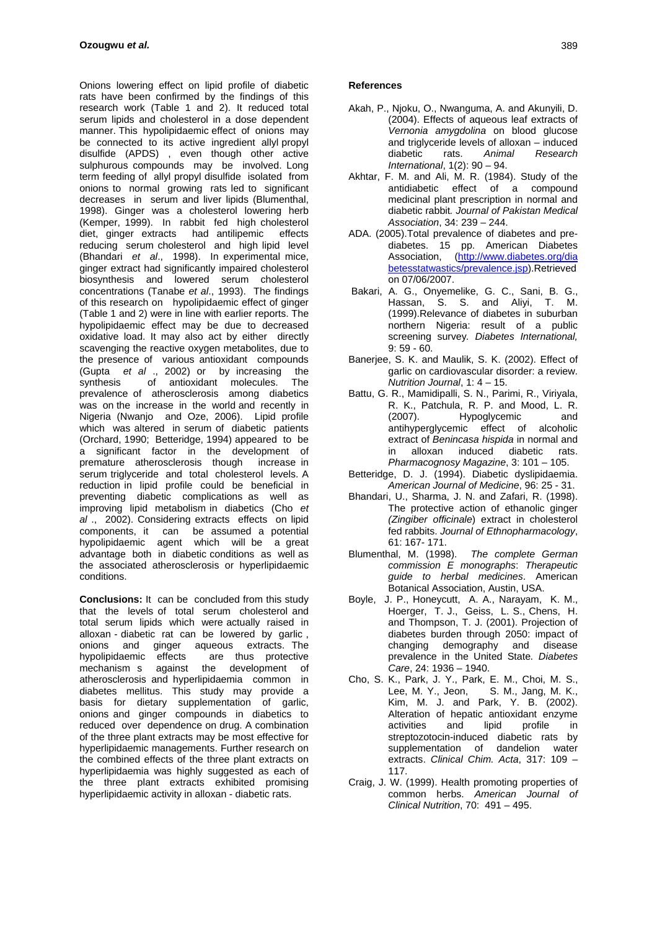Onions lowering effect on lipid profile of diabetic rats have been confirmed by the findings of this research work (Table 1 and 2). It reduced total serum lipids and cholesterol in a dose dependent manner. This hypolipidaemic effect of onions may be connected to its active ingredient allyl propyl disulfide (APDS) , even though other active sulphurous compounds may be involved. Long term feeding of allyl propyl disulfide isolated from onions to normal growing rats led to significant decreases in serum and liver lipids (Blumenthal, 1998). Ginger was a cholesterol lowering herb (Kemper, 1999). In rabbit fed high cholesterol diet, ginger extracts had antilipemic effects reducing serum cholesterol and high lipid level (Bhandari *et al*., 1998). In experimental mice, ginger extract had significantly impaired cholesterol biosynthesis and lowered serum cholesterol concentrations (Tanabe *et al*., 1993). The findings of this research on hypolipidaemic effect of ginger (Table 1 and 2) were in line with earlier reports. The hypolipidaemic effect may be due to decreased oxidative load. It may also act by either directly scavenging the reactive oxygen metabolites, due to the presence of various antioxidant compounds (Gupta *et al* ., 2002) or by increasing the synthesis of antioxidant molecules. The prevalence of atherosclerosis among diabetics was on the increase in the world and recently in Nigeria (Nwanjo and Oze, 2006). Lipid profile which was altered in serum of diabetic patients (Orchard, 1990; Betteridge, 1994) appeared to be a significant factor in the development of premature atherosclerosis though increase in serum triglyceride and total cholesterol levels. A reduction in lipid profile could be beneficial in preventing diabetic complications as well as improving lipid metabolism in diabetics (Cho *et al* ., 2002). Considering extracts effects on lipid components, it can be assumed a potential hypolipidaemic agent which will be a great advantage both in diabetic conditions as well as the associated atherosclerosis or hyperlipidaemic conditions.

**Conclusions:** It can be concluded from this study that the levels of total serum cholesterol and total serum lipids which were actually raised in alloxan - diabetic rat can be lowered by garlic , onions and ginger aqueous extracts. The<br>hypolipidaemic effects are thus protective hypolipidaemic effects are thus protective mechanism s against the development of atherosclerosis and hyperlipidaemia common in diabetes mellitus. This study may provide a basis for dietary supplementation of garlic, onions and ginger compounds in diabetics to reduced over dependence on drug. A combination of the three plant extracts may be most effective for hyperlipidaemic managements. Further research on the combined effects of the three plant extracts on hyperlipidaemia was highly suggested as each of the three plant extracts exhibited promising hyperlipidaemic activity in alloxan - diabetic rats.

#### **References**

- Akah, P., Njoku, O., Nwanguma, A. and Akunyili, D. (2004). Effects of aqueous leaf extracts of *Vernonia amygdolina* on blood glucose and triglyceride levels of alloxan – induced diabetic rats. *Animal Research International*, 1(2): 90 – 94.
- Akhtar, F. M. and Ali, M. R. (1984). Study of the antidiabetic effect of a compound medicinal plant prescription in normal and diabetic rabbit*. Journal of Pakistan Medical Association*, 34: 239 – 244.
- ADA. (2005).Total prevalence of diabetes and prediabetes. 15 pp. American Diabetes Association, ([http://www.diabetes.org/dia](http://www.diabetes.org/dia betesstatwastics/prevalence.jsp)  [betesstatwastics/prevalence.jsp](http://www.diabetes.org/dia betesstatwastics/prevalence.jsp)).Retrieved on 07/06/2007.
- Bakari, A. G., Onyemelike, G. C., Sani, B. G., Hassan, S. S. and Aliyi, T. M. (1999).Relevance of diabetes in suburban northern Nigeria: result of a public screening survey*. Diabetes International,* 9: 59 - 60.
- Banerjee, S. K. and Maulik, S. K. (2002). Effect of garlic on cardiovascular disorder: a review. *Nutrition Journal*, 1: 4 – 15.
- Battu, G. R., Mamidipalli, S. N., Parimi, R., Viriyala, R. K., Patchula, R. P. and Mood, L. R. (2007). Hypoglycemic and antihyperglycemic effect of alcoholic extract of *Benincasa hispida* in normal and in alloxan induced diabetic rats. *Pharmacognosy Magazine*, 3: 101 – 105.
- Betteridge, D. J. (1994). Diabetic dyslipidaemia. *American Journal of Medicine*, 96: 25 - 31.
- Bhandari, U., Sharma, J. N. and Zafari, R. (1998). The protective action of ethanolic ginger *(Zingiber officinale*) extract in cholesterol fed rabbits. *Journal of Ethnopharmacology*, 61: 167- 171.
- Blumenthal, M. (1998). *The complete German commission E monographs*: *Therapeutic guide to herbal medicines*. American Botanical Association, Austin, USA.
- Boyle, J. P., Honeycutt, A. A., Narayam, K. M., Hoerger, T. J., Geiss, L. S., Chens, H. and Thompson, T. J. (2001). Projection of diabetes burden through 2050: impact of changing demography and disease prevalence in the United State*. Diabetes Care*, 24: 1936 – 1940.
- Cho, S. K., Park, J. Y., Park, E. M., Choi, M. S., Lee, M. Y., Jeon, S. M., Jang, M. K., Kim, M. J. and Park, Y. B. (2002). Alteration of hepatic antioxidant enzyme activities and lipid profile in streptozotocin-induced diabetic rats by supplementation of dandelion water extracts. *Clinical Chim. Acta*, 317: 109 – 117.
- Craig, J. W. (1999). Health promoting properties of common herbs. *American Journal of Clinical Nutrition*, 70: 491 – 495.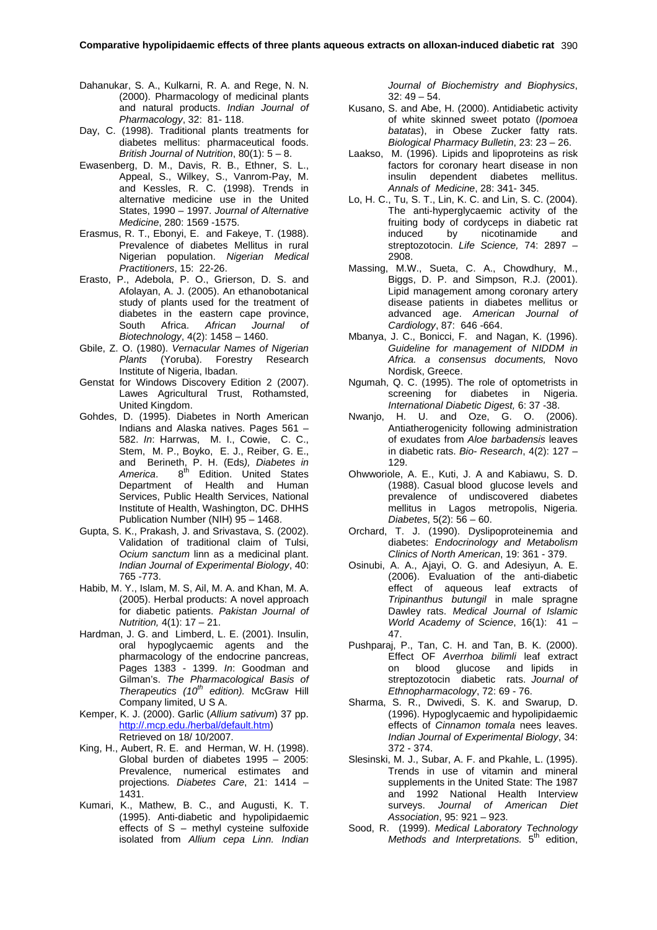- Dahanukar, S. A., Kulkarni, R. A. and Rege, N. N. (2000). Pharmacology of medicinal plants and natural products. *Indian Journal of Pharmacology*, 32: 81- 118.
- Day, C. (1998). Traditional plants treatments for diabetes mellitus: pharmaceutical foods. *British Journal of Nutrition*, 80(1): 5 – 8.
- Ewasenberg, D. M., Davis, R. B., Ethner, S. L., Appeal, S., Wilkey, S., Vanrom-Pay, M. and Kessles, R. C. (1998). Trends in alternative medicine use in the United States, 1990 – 1997. *Journal of Alternative Medicine*, 280: 1569 -1575.
- Erasmus, R. T., Ebonyi, E. and Fakeye, T. (1988). Prevalence of diabetes Mellitus in rural Nigerian population. *Nigerian Medical Practitioners*, 15: 22-26.
- Erasto, P., Adebola, P. O., Grierson, D. S. and Afolayan, A. J. (2005). An ethanobotanical study of plants used for the treatment of diabetes in the eastern cape province, South Africa. *African Journal of Biotechnology*, 4(2): 1458 – 1460.
- Gbile, Z. O. (1980). *Vernacular Names of Nigerian Plants* (Yoruba). Forestry Research Institute of Nigeria, Ibadan.
- Genstat for Windows Discovery Edition 2 (2007). Lawes Agricultural Trust, Rothamsted, United Kingdom.
- Gohdes, D. (1995). Diabetes in North American Indians and Alaska natives. Pages 561 – 582. *In*: Harrwas, M. I., Cowie, C. C., Stem, M. P., Boyko, E. J., Reiber, G. E., and Berineth, P. H. (Eds*), Diabetes in* America. 8<sup>th</sup> Edition. United States Department of Health and Human Services, Public Health Services, National Institute of Health, Washington, DC. DHHS Publication Number (NIH) 95 – 1468.
- Gupta, S. K., Prakash, J. and Srivastava, S. (2002). Validation of traditional claim of Tulsi, *Ocium sanctum* linn as a medicinal plant. *Indian Journal of Experimental Biology*, 40: 765 -773.
- Habib, M. Y., Islam, M. S, Ail, M. A. and Khan, M. A. (2005). Herbal products: A novel approach for diabetic patients. *Pakistan Journal of Nutrition,* 4(1): 17 – 21.
- Hardman, J. G. and Limberd, L. E. (2001). Insulin, oral hypoglycaemic agents and the pharmacology of the endocrine pancreas, Pages 1383 - 1399. *In*: Goodman and Gilman's. *The Pharmacological Basis of Therapeutics (10<sup>th</sup> edition)*. McGraw Hill Company limited, U S A.
- Kemper, K. J. (2000). Garlic (*Allium sativum*) 37 pp. [http://.mcp.edu./herbal/default.htm\)](http://.mcp.edu./herbal/default.htm) Retrieved on 18/ 10/2007.
- King, H., Aubert, R. E. and Herman, W. H. (1998). Global burden of diabetes 1995 – 2005: Prevalence, numerical estimates and projections*. Diabetes Care*, 21: 1414 – 1431.
- Kumari, K., Mathew, B. C., and Augusti, K. T. (1995). Anti-diabetic and hypolipidaemic effects of  $S$  – methyl cysteine sulfoxide isolated from *Allium cepa Linn. Indian*

*Journal of Biochemistry and Biophysics*,  $32:49-54.$ 

- Kusano, S. and Abe, H. (2000). Antidiabetic activity of white skinned sweet potato (*Ipomoea batatas*), in Obese Zucker fatty rats. *Biological Pharmacy Bulletin*, 23: 23 – 26.
- Laakso, M. (1996). Lipids and lipoproteins as risk factors for coronary heart disease in non insulin dependent diabetes mellitus. *Annals of Medicine*, 28: 341- 345.
- Lo, H. C., Tu, S. T., Lin, K. C. and Lin, S. C. (2004). The anti-hyperglycaemic activity of the fruiting body of cordyceps in diabetic rat induced by nicotinamide and streptozotocin. *Life Science,* 74: 2897 – 2908.
- Massing, M.W., Sueta, C. A., Chowdhury, M., Biggs, D. P. and Simpson, R.J. (2001). Lipid management among coronary artery disease patients in diabetes mellitus or advanced age. *American Journal of Cardiology*, 87: 646 -664.
- Mbanya, J. C., Bonicci, F. and Nagan, K. (1996). *Guideline for management of NIDDM in Africa. a consensus documents,* Novo Nordisk, Greece.
- Ngumah, Q. C. (1995). The role of optometrists in screening for diabetes in Nigeria. *International Diabetic Digest,* 6: 37 -38.
- Nwanjo, H. U. and Oze, G. O. (2006). Antiatherogenicity following administration of exudates from *Aloe barbadensis* leaves in diabetic rats. *Bio- Research*, 4(2): 127 – 129.
- Ohwworiole, A. E., Kuti, J. A and Kabiawu, S. D. (1988). Casual blood glucose levels and prevalence of undiscovered diabetes mellitus in Lagos metropolis, Nigeria. *Diabetes*, 5(2): 56 – 60.
- Orchard, T. J. (1990). Dyslipoproteinemia and diabetes: *Endocrinology and Metabolism Clinics of North American*, 19: 361 - 379.
- Osinubi, A. A., Ajayi, O. G. and Adesiyun, A. E. (2006). Evaluation of the anti-diabetic effect of aqueous leaf extracts of *Tripinanthus butungil* in male spragne Dawley rats. *Medical Journal of Islamic World Academy of Science*, 16(1): 41 – 47.
- Pushparaj, P., Tan, C. H. and Tan, B. K. (2000). Effect OF *Averrhoa bilimli* leaf extract on blood glucose and lipids in streptozotocin diabetic rats. *Journal of Ethnopharmacology*, 72: 69 - 76.
- Sharma, S. R., Dwivedi, S. K. and Swarup, D. (1996). Hypoglycaemic and hypolipidaemic effects of *Cinnamon tomala* nees leaves. *Indian Journal of Experimental Biology*, 34: 372 - 374.
- Slesinski, M. J., Subar, A. F. and Pkahle, L. (1995). Trends in use of vitamin and mineral supplements in the United State: The 1987 and 1992 National Health Interview surveys. *Journal of American Diet Association*, 95: 921 – 923.
- Sood, R. (1999). *Medical Laboratory Technology Methods and Interpretations.* 5<sup>th</sup> edition,